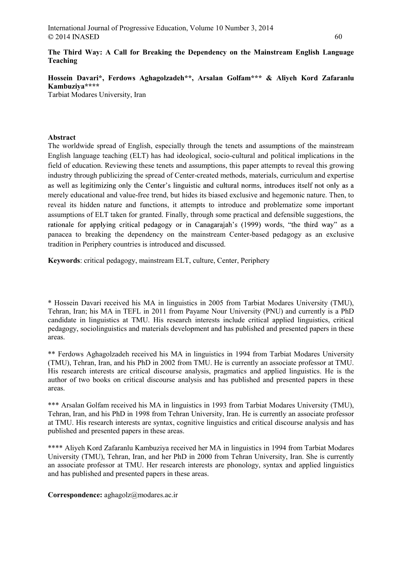# The Third Way: A Call for Breaking the Dependency on the Mainstream English Language Teaching

# Hossein Davari\*, Ferdows Aghagolzadeh\*\*, Arsalan Golfam\*\*\* & Aliyeh Kord Zafaranlu Kambuziya\*\*\*\*

Tarbiat Modares University, Iran

## Abstract

The worldwide spread of English, especially through the tenets and assumptions of the mainstream English language teaching (ELT) has had ideological, socio-cultural and political implications in the field of education. Reviewing these tenets and assumptions, this paper attempts to reveal this growing industry through publicizing the spread of Center-created methods, materials, curriculum and expertise as well as legitimizing only the Center's linguistic and cultural norms, introduces itself not only as a merely educational and value-free trend, but hides its biased exclusive and hegemonic nature. Then, to reveal its hidden nature and functions, it attempts to introduce and problematize some important assumptions of ELT taken for granted. Finally, through some practical and defensible suggestions, the rationale for applying critical pedagogy or in Canagarajah's (1999) words, "the third way" as a panacea to breaking the dependency on the mainstream Center-based pedagogy as an exclusive tradition in Periphery countries is introduced and discussed.

Keywords: critical pedagogy, mainstream ELT, culture, Center, Periphery

\* Hossein Davari received his MA in linguistics in 2005 from Tarbiat Modares University (TMU), Tehran, Iran; his MA in TEFL in 2011 from Payame Nour University (PNU) and currently is a PhD candidate in linguistics at TMU. His research interests include critical applied linguistics, critical pedagogy, sociolinguistics and materials development and has published and presented papers in these areas.

\*\* Ferdows Aghagolzadeh received his MA in linguistics in 1994 from Tarbiat Modares University (TMU), Tehran, Iran, and his PhD in 2002 from TMU. He is currently an associate professor at TMU. His research interests are critical discourse analysis, pragmatics and applied linguistics. He is the author of two books on critical discourse analysis and has published and presented papers in these areas.

\*\*\* Arsalan Golfam received his MA in linguistics in 1993 from Tarbiat Modares University (TMU), Tehran, Iran, and his PhD in 1998 from Tehran University, Iran. He is currently an associate professor at TMU. His research interests are syntax, cognitive linguistics and critical discourse analysis and has published and presented papers in these areas.

\*\*\*\* Aliyeh Kord Zafaranlu Kambuziya received her MA in linguistics in 1994 from Tarbiat Modares University (TMU), Tehran, Iran, and her PhD in 2000 from Tehran University, Iran. She is currently an associate professor at TMU. Her research interests are phonology, syntax and applied linguistics and has published and presented papers in these areas.

Correspondence: aghagolz@modares.ac.ir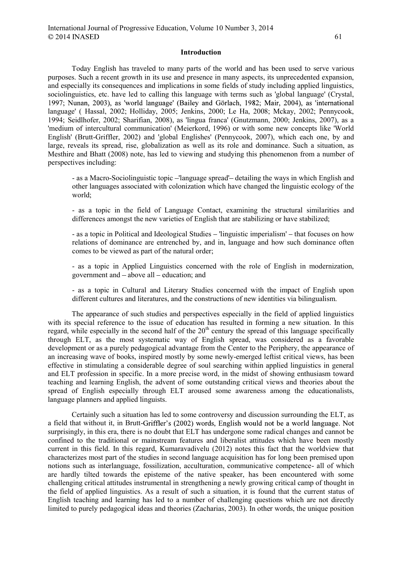Today English has traveled to many parts of the world and has been used to serve various purposes. Such a recent growth in its use and presence in many aspects, its unprecedented expansion, and especially its consequences and implications in some fields of study including applied linguistics, sociolinguistics, etc. have led to calling this language with terms such as 'global language' (Crystal, 1997; Nunan, 2003), as 'world language' (Bailey and Görlach, 1982; Mair, 2004), as 'international language' ( Hassal, 2002; Holliday, 2005; Jenkins, 2000; Le Ha, 2008; Mckay, 2002; Pennycook, 1994; Seidlhofer, 2002; Sharifian, 2008), as 'lingua franca' (Gnutzmann, 2000; Jenkins, 2007), as a 'medium of intercultural communication' (Meierkord, 1996) or with some new concepts like 'World English' (Brutt-Griffler, 2002) and 'global Englishes' (Pennycook, 2007), which each one, by and large, reveals its spread, rise, globalization as well as its role and dominance. Such a situation, as Mesthire and Bhatt (2008) note, has led to viewing and studying this phenomenon from a number of perspectives including:

- as a Macro-Sociolinguistic topic 'language spread' detailing the ways in which English and other languages associated with colonization which have changed the linguistic ecology of the world;

- as a topic in the field of Language Contact, examining the structural similarities and differences amongst the new varieties of English that are stabilizing or have stabilized;

- as a topic in Political and Ideological Studies - 'linguistic imperialism' - that focuses on how relations of dominance are entrenched by, and in, language and how such dominance often comes to be viewed as part of the natural order;

- as a topic in Applied Linguistics concerned with the role of English in modernization, government and – above all – education; and

- as a topic in Cultural and Literary Studies concerned with the impact of English upon different cultures and literatures, and the constructions of new identities via bilingualism.

 The appearance of such studies and perspectives especially in the field of applied linguistics with its special reference to the issue of education has resulted in forming a new situation. In this regard, while especially in the second half of the  $20<sup>th</sup>$  century the spread of this language specifically through ELT, as the most systematic way of English spread, was considered as a favorable development or as a purely pedagogical advantage from the Center to the Periphery, the appearance of an increasing wave of books, inspired mostly by some newly-emerged leftist critical views, has been effective in stimulating a considerable degree of soul searching within applied linguistics in general and ELT profession in specific. In a more precise word, in the midst of showing enthusiasm toward teaching and learning English, the advent of some outstanding critical views and theories about the spread of English especially through ELT aroused some awareness among the educationalists, language planners and applied linguists.

 Certainly such a situation has led to some controversy and discussion surrounding the ELT, as a field that without it, in Brutt-Griffler's (2002) words, English would not be a world language. Not surprisingly, in this era, there is no doubt that ELT has undergone some radical changes and cannot be confined to the traditional or mainstream features and liberalist attitudes which have been mostly current in this field. In this regard, Kumaravadivelu (2012) notes this fact that the worldview that characterizes most part of the studies in second language acquisition has for long been premised upon notions such as interlanguage, fossilization, acculturation, communicative competence- all of which are hardly tilted towards the episteme of the native speaker, has been encountered with some challenging critical attitudes instrumental in strengthening a newly growing critical camp of thought in the field of applied linguistics. As a result of such a situation, it is found that the current status of English teaching and learning has led to a number of challenging questions which are not directly limited to purely pedagogical ideas and theories (Zacharias, 2003). In other words, the unique position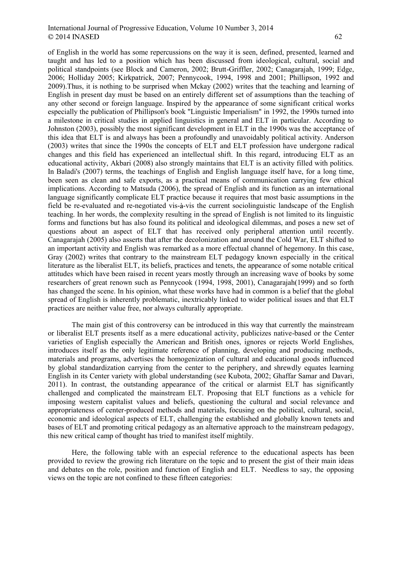### International Journal of Progressive Education, Volume 10 Number 3, 2014 62

of English in the world has some repercussions on the way it is seen, defined, presented, learned and taught and has led to a position which has been discussed from ideological, cultural, social and political standpoints (see Block and Cameron, 2002; Brutt-Griffler, 2002; Canagarajah, 1999; Edge, 2006; Holliday 2005; Kirkpatrick, 2007; Pennycook, 1994, 1998 and 2001; Phillipson, 1992 and 2009).Thus, it is nothing to be surprised when Mckay (2002) writes that the teaching and learning of English in present day must be based on an entirely different set of assumptions than the teaching of any other second or foreign language. Inspired by the appearance of some significant critical works especially the publication of Phillipson's book "Linguistic Imperialism" in 1992, the 1990s turned into a milestone in critical studies in applied linguistics in general and ELT in particular. According to Johnston (2003), possibly the most significant development in ELT in the 1990s was the acceptance of this idea that ELT is and always has been a profoundly and unavoidably political activity. Anderson (2003) writes that since the 1990s the concepts of ELT and ELT profession have undergone radical changes and this field has experienced an intellectual shift. In this regard, introducing ELT as an educational activity, Akbari (2008) also strongly maintains that ELT is an activity filled with politics. In Baladi's (2007) terms, the teachings of English and English language itself have, for a long time, been seen as clean and safe exports, as a practical means of communication carrying few ethical implications. According to Matsuda (2006), the spread of English and its function as an international language significantly complicate ELT practice because it requires that most basic assumptions in the field be re-evaluated and re-negotiated vis-à-vis the current sociolinguistic landscape of the English teaching. In her words, the complexity resulting in the spread of English is not limited to its linguistic forms and functions but has also found its political and ideological dilemmas, and poses a new set of questions about an aspect of ELT that has received only peripheral attention until recently. Canagarajah (2005) also asserts that after the decolonization and around the Cold War, ELT shifted to an important activity and English was remarked as a more effectual channel of hegemony. In this case, Gray (2002) writes that contrary to the mainstream ELT pedagogy known especially in the critical literature as the liberalist ELT, its beliefs, practices and tenets, the appearance of some notable critical attitudes which have been raised in recent years mostly through an increasing wave of books by some researchers of great renown such as Pennycook (1994, 1998, 2001), Canagarajah(1999) and so forth has changed the scene. In his opinion, what these works have had in common is a belief that the global spread of English is inherently problematic, inextricably linked to wider political issues and that ELT practices are neither value free, nor always culturally appropriate.

 The main gist of this controversy can be introduced in this way that currently the mainstream or liberalist ELT presents itself as a mere educational activity, publicizes native-based or the Center varieties of English especially the American and British ones, ignores or rejects World Englishes, introduces itself as the only legitimate reference of planning, developing and producing methods, materials and programs, advertises the homogenization of cultural and educational goods influenced by global standardization carrying from the center to the periphery, and shrewdly equates learning English in its Center variety with global understanding (see Kubota, 2002; Ghaffar Samar and Davari, 2011). In contrast, the outstanding appearance of the critical or alarmist ELT has significantly challenged and complicated the mainstream ELT. Proposing that ELT functions as a vehicle for imposing western capitalist values and beliefs, questioning the cultural and social relevance and appropriateness of center-produced methods and materials, focusing on the political, cultural, social, economic and ideological aspects of ELT, challenging the established and globally known tenets and bases of ELT and promoting critical pedagogy as an alternative approach to the mainstream pedagogy, this new critical camp of thought has tried to manifest itself mightily.

 Here, the following table with an especial reference to the educational aspects has been provided to review the growing rich literature on the topic and to present the gist of their main ideas and debates on the role, position and function of English and ELT. Needless to say, the opposing views on the topic are not confined to these fifteen categories: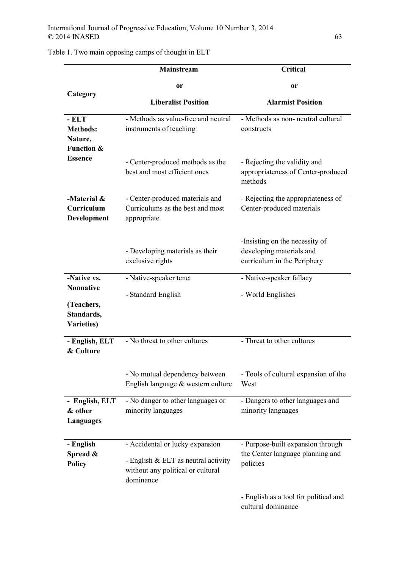|                                                              | <b>Mainstream</b>                                                                                                        | <b>Critical</b>                                                                           |
|--------------------------------------------------------------|--------------------------------------------------------------------------------------------------------------------------|-------------------------------------------------------------------------------------------|
|                                                              | or                                                                                                                       | or                                                                                        |
| Category                                                     | <b>Liberalist Position</b>                                                                                               | <b>Alarmist Position</b>                                                                  |
| - ELT<br><b>Methods:</b><br>Nature,<br><b>Function &amp;</b> | - Methods as value-free and neutral<br>instruments of teaching                                                           | - Methods as non- neutral cultural<br>constructs                                          |
| <b>Essence</b>                                               | - Center-produced methods as the<br>best and most efficient ones                                                         | - Rejecting the validity and<br>appropriateness of Center-produced<br>methods             |
| -Material &<br>Curriculum<br>Development                     | - Center-produced materials and<br>Curriculums as the best and most<br>appropriate                                       | - Rejecting the appropriateness of<br>Center-produced materials                           |
|                                                              | - Developing materials as their<br>exclusive rights                                                                      | -Insisting on the necessity of<br>developing materials and<br>curriculum in the Periphery |
| -Native vs.<br><b>Nonnative</b>                              | - Native-speaker tenet                                                                                                   | - Native-speaker fallacy                                                                  |
| (Teachers,<br>Standards,<br><b>Varieties</b> )               | - Standard English                                                                                                       | - World Englishes                                                                         |
| - English, ELT<br>& Culture                                  | - No threat to other cultures                                                                                            | - Threat to other cultures                                                                |
|                                                              | - No mutual dependency between<br>English language & western culture                                                     | - Tools of cultural expansion of the<br>West                                              |
| - English, ELT<br>& other<br><b>Languages</b>                | - No danger to other languages or<br>minority languages                                                                  | - Dangers to other languages and<br>minority languages                                    |
| - English<br>Spread &<br><b>Policy</b>                       | - Accidental or lucky expansion<br>- English & ELT as neutral activity<br>without any political or cultural<br>dominance | - Purpose-built expansion through<br>the Center language planning and<br>policies         |
|                                                              |                                                                                                                          | - English as a tool for political and<br>cultural dominance                               |

# Table 1. Two main opposing camps of thought in ELT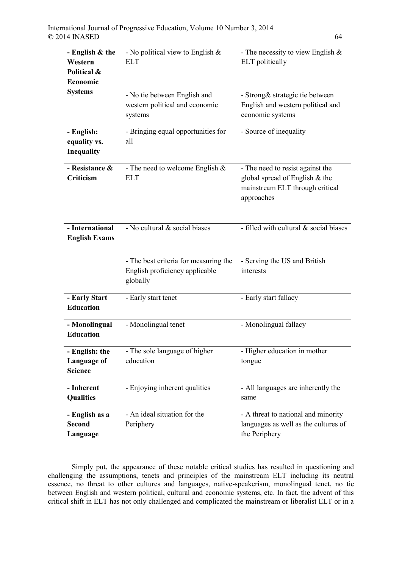| - English & the<br>Western<br>Political &<br>Economic | - No political view to English $\&$<br><b>ELT</b>                                   | - The necessity to view English $&$<br>ELT politically                                                              |
|-------------------------------------------------------|-------------------------------------------------------------------------------------|---------------------------------------------------------------------------------------------------------------------|
| <b>Systems</b>                                        | - No tie between English and<br>western political and economic<br>systems           | - Strong& strategic tie between<br>English and western political and<br>economic systems                            |
| - English:<br>equality vs.<br>Inequality              | - Bringing equal opportunities for<br>all                                           | - Source of inequality                                                                                              |
| - Resistance &<br><b>Criticism</b>                    | - The need to welcome English $\&$<br><b>ELT</b>                                    | - The need to resist against the<br>global spread of English & the<br>mainstream ELT through critical<br>approaches |
| - International<br><b>English Exams</b>               | - No cultural & social biases                                                       | - filled with cultural & social biases                                                                              |
|                                                       | - The best criteria for measuring the<br>English proficiency applicable<br>globally | - Serving the US and British<br>interests                                                                           |
| - Early Start<br><b>Education</b>                     | - Early start tenet                                                                 | - Early start fallacy                                                                                               |
| - Monolingual<br><b>Education</b>                     | - Monolingual tenet                                                                 | - Monolingual fallacy                                                                                               |
| - English: the<br>Language of<br><b>Science</b>       | - The sole language of higher<br>education                                          | - Higher education in mother<br>tongue                                                                              |
| - Inherent<br><b>Qualities</b>                        | - Enjoying inherent qualities                                                       | - All languages are inherently the<br>same                                                                          |
| - English as a<br><b>Second</b><br>Language           | - An ideal situation for the<br>Periphery                                           | - A threat to national and minority<br>languages as well as the cultures of<br>the Periphery                        |

Simply put, the appearance of these notable critical studies has resulted in questioning and challenging the assumptions, tenets and principles of the mainstream ELT including its neutral essence, no threat to other cultures and languages, native-speakerism, monolingual tenet, no tie between English and western political, cultural and economic systems, etc. In fact, the advent of this critical shift in ELT has not only challenged and complicated the mainstream or liberalist ELT or in a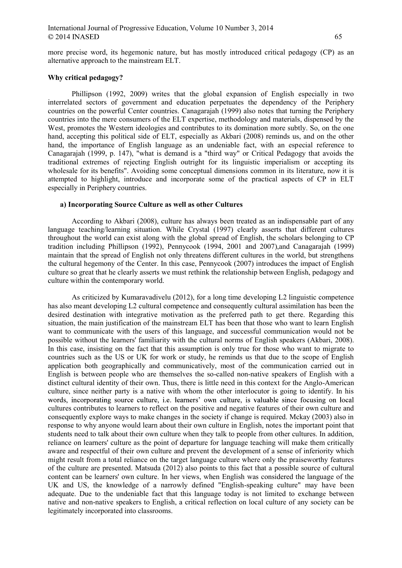more precise word, its hegemonic nature, but has mostly introduced critical pedagogy (CP) as an alternative approach to the mainstream ELT.

#### Why critical pedagogy?

 Phillipson (1992, 2009) writes that the global expansion of English especially in two interrelated sectors of government and education perpetuates the dependency of the Periphery countries on the powerful Center countries. Canagarajah (1999) also notes that turning the Periphery countries into the mere consumers of the ELT expertise, methodology and materials, dispensed by the West, promotes the Western ideologies and contributes to its domination more subtly. So, on the one hand, accepting this political side of ELT, especially as Akbari (2008) reminds us, and on the other hand, the importance of English language as an undeniable fact, with an especial reference to Canagarajah (1999, p. 147), "what is demand is a "third way" or Critical Pedagogy that avoids the traditional extremes of rejecting English outright for its linguistic imperialism or accepting its wholesale for its benefits". Avoiding some conceptual dimensions common in its literature, now it is attempted to highlight, introduce and incorporate some of the practical aspects of CP in ELT especially in Periphery countries.

#### a) Incorporating Source Culture as well as other Cultures

 According to Akbari (2008), culture has always been treated as an indispensable part of any language teaching/learning situation. While Crystal (1997) clearly asserts that different cultures throughout the world can exist along with the global spread of English, the scholars belonging to CP tradition including Phillipson (1992), Pennycook (1994, 2001 and 2007),and Canagarajah (1999) maintain that the spread of English not only threatens different cultures in the world, but strengthens the cultural hegemony of the Center. In this case, Pennycook (2007) introduces the impact of English culture so great that he clearly asserts we must rethink the relationship between English, pedagogy and culture within the contemporary world.

 As criticized by Kumaravadivelu (2012), for a long time developing L2 linguistic competence has also meant developing L2 cultural competence and consequently cultural assimilation has been the desired destination with integrative motivation as the preferred path to get there. Regarding this situation, the main justification of the mainstream ELT has been that those who want to learn English want to communicate with the users of this language, and successful communication would not be possible without the learners' familiarity with the cultural norms of English speakers (Akbari, 2008). In this case, insisting on the fact that this assumption is only true for those who want to migrate to countries such as the US or UK for work or study, he reminds us that due to the scope of English application both geographically and communicatively, most of the communication carried out in English is between people who are themselves the so-called non-native speakers of English with a distinct cultural identity of their own. Thus, there is little need in this context for the Anglo-American culture, since neither party is a native with whom the other interlocutor is going to identify. In his words, incorporating source culture, i.e. learners' own culture, is valuable since focusing on local cultures contributes to learners to reflect on the positive and negative features of their own culture and consequently explore ways to make changes in the society if change is required. Mckay (2003) also in response to why anyone would learn about their own culture in English, notes the important point that students need to talk about their own culture when they talk to people from other cultures. In addition, reliance on learners' culture as the point of departure for language teaching will make them critically aware and respectful of their own culture and prevent the development of a sense of inferiority which might result from a total reliance on the target language culture where only the praiseworthy features of the culture are presented. Matsuda (2012) also points to this fact that a possible source of cultural content can be learners' own culture. In her views, when English was considered the language of the UK and US, the knowledge of a narrowly defined "English-speaking culture" may have been adequate. Due to the undeniable fact that this language today is not limited to exchange between native and non-native speakers to English, a critical reflection on local culture of any society can be legitimately incorporated into classrooms.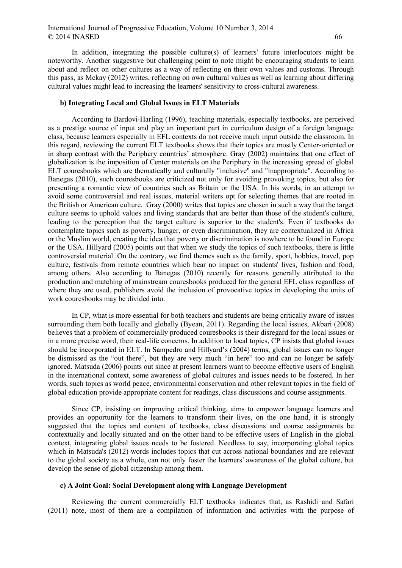In addition, integrating the possible culture(s) of learners' future interlocutors might be noteworthy. Another suggestive but challenging point to note might be encouraging students to learn about and reflect on other cultures as a way of reflecting on their own values and customs. Through this pass, as Mckay (2012) writes, reflecting on own cultural values as well as learning about differing cultural values might lead to increasing the learners' sensitivity to cross-cultural awareness.

#### b) Integrating Local and Global Issues in ELT Materials

 According to Bardovi-Harling (1996), teaching materials, especially textbooks, are perceived as a prestige source of input and play an important part in curriculum design of a foreign language class, because learners especially in EFL contexts do not receive much input outside the classroom. In this regard, reviewing the current ELT textbooks shows that their topics are mostly Center-oriented or in sharp contrast with the Periphery countries' atmosphere. Gray (2002) maintains that one effect of globalization is the imposition of Center materials on the Periphery in the increasing spread of global ELT couresbooks which are thematically and culturally "inclusive" and "inappropriate". According to Banegas (2010), such couresbooks are criticized not only for avoiding provoking topics, but also for presenting a romantic view of countries such as Britain or the USA. In his words, in an attempt to avoid some controversial and real issues, material writers opt for selecting themes that are rooted in the British or American culture. Gray (2000) writes that topics are chosen in such a way that the target culture seems to uphold values and living standards that are better than those of the student's culture, leading to the perception that the target culture is superior to the student's. Even if textbooks do contemplate topics such as poverty, hunger, or even discrimination, they are contextualized in Africa or the Muslim world, creating the idea that poverty or discrimination is nowhere to be found in Europe or the USA. Hillyard (2005) points out that when we study the topics of such textbooks, there is little controversial material. On the contrary, we find themes such as the family, sport, hobbies, travel, pop culture, festivals from remote countries which bear no impact on students' lives, fashion and food, among others. Also according to Banegas (2010) recently for reasons generally attributed to the production and matching of mainstream couresbooks produced for the general EFL class regardless of where they are used, publishers avoid the inclusion of provocative topics in developing the units of work couresbooks may be divided into.

 In CP, what is more essential for both teachers and students are being critically aware of issues surrounding them both locally and globally (Byean, 2011). Regarding the local issues, Akbari (2008) believes that a problem of commercially produced couresbooks is their disregard for the local issues or in a more precise word, their real-life concerns. In addition to local topics, CP insists that global issues should be incorporated in ELT. In Sampedro and Hillyard's (2004) terms, global issues can no longer be dismissed as the "out there", but they are very much "in here" too and can no longer be safely ignored. Matsuda (2006) points out since at present learners want to become effective users of English in the international context, some awareness of global cultures and issues needs to be fostered. In her words, such topics as world peace, environmental conservation and other relevant topics in the field of global education provide appropriate content for readings, class discussions and course assignments.

 Since CP, insisting on improving critical thinking, aims to empower language learners and provides an opportunity for the learners to transform their lives, on the one hand, it is strongly suggested that the topics and content of textbooks, class discussions and course assignments be contextually and locally situated and on the other hand to be effective users of English in the global context, integrating global issues needs to be fostered. Needless to say, incorporating global topics which in Matsuda's (2012) words includes topics that cut across national boundaries and are relevant to the global society as a whole, can not only foster the learners' awareness of the global culture, but develop the sense of global citizenship among them.

## c) A Joint Goal: Social Development along with Language Development

 Reviewing the current commercially ELT textbooks indicates that, as Rashidi and Safari (2011) note, most of them are a compilation of information and activities with the purpose of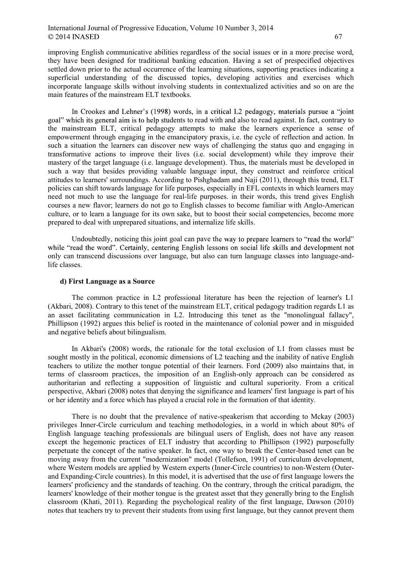### International Journal of Progressive Education, Volume 10 Number 3, 2014 67

improving English communicative abilities regardless of the social issues or in a more precise word, they have been designed for traditional banking education. Having a set of prespecified objectives settled down prior to the actual occurrence of the learning situations, supporting practices indicating a superficial understanding of the discussed topics, developing activities and exercises which incorporate language skills without involving students in contextualized activities and so on are the main features of the mainstream ELT textbooks.

In Crookes and Lehner's (1998) words, in a critical L2 pedagogy, materials pursue a "joint" goal" which its general aim is to help students to read with and also to read against. In fact, contrary to the mainstream ELT, critical pedagogy attempts to make the learners experience a sense of empowerment through engaging in the emancipatory praxis, i.e. the cycle of reflection and action. In such a situation the learners can discover new ways of challenging the status quo and engaging in transformative actions to improve their lives (i.e. social development) while they improve their mastery of the target language (i.e. language development). Thus, the materials must be developed in such a way that besides providing valuable language input, they construct and reinforce critical attitudes to learners' surroundings. According to Pishghadam and Naji (2011), through this trend, ELT policies can shift towards language for life purposes, especially in EFL contexts in which learners may need not much to use the language for real-life purposes. in their words, this trend gives English courses a new flavor; learners do not go to English classes to become familiar with Anglo-American culture, or to learn a language for its own sake, but to boost their social competencies, become more prepared to deal with unprepared situations, and internalize life skills.

Undoubtedly, noticing this joint goal can pave the way to prepare learners to "read the world" while "read the word". Certainly, centering English lessons on social life skills and development not only can transcend discussions over language, but also can turn language classes into language-andlife classes.

#### d) First Language as a Source

 The common practice in L2 professional literature has been the rejection of learner's L1 (Akbari, 2008). Contrary to this tenet of the mainstream ELT, critical pedagogy tradition regards L1 as an asset facilitating communication in L2. Introducing this tenet as the "monolingual fallacy", Phillipson (1992) argues this belief is rooted in the maintenance of colonial power and in misguided and negative beliefs about bilingualism.

 In Akbari's (2008) words, the rationale for the total exclusion of L1 from classes must be sought mostly in the political, economic dimensions of L2 teaching and the inability of native English teachers to utilize the mother tongue potential of their learners. Ford (2009) also maintains that, in terms of classroom practices, the imposition of an English-only approach can be considered as authoritarian and reflecting a supposition of linguistic and cultural superiority. From a critical perspective, Akbari (2008) notes that denying the significance and learners' first language is part of his or her identity and a force which has played a crucial role in the formation of that identity.

 There is no doubt that the prevalence of native-speakerism that according to Mckay (2003) privileges Inner-Circle curriculum and teaching methodologies, in a world in which about 80% of English language teaching professionals are bilingual users of English, does not have any reason except the hegemonic practices of ELT industry that according to Phillipson (1992) purposefully perpetuate the concept of the native speaker. In fact, one way to break the Center-based tenet can be moving away from the current "modernization" model (Tollefson, 1991) of curriculum development, where Western models are applied by Western experts (Inner-Circle countries) to non-Western (Outerand Expanding-Circle countries). In this model, it is advertised that the use of first language lowers the learners' proficiency and the standards of teaching. On the contrary, through the critical paradigm, the learners' knowledge of their mother tongue is the greatest asset that they generally bring to the English classroom (Khati, 2011). Regarding the psychological reality of the first language, Dawson (2010) notes that teachers try to prevent their students from using first language, but they cannot prevent them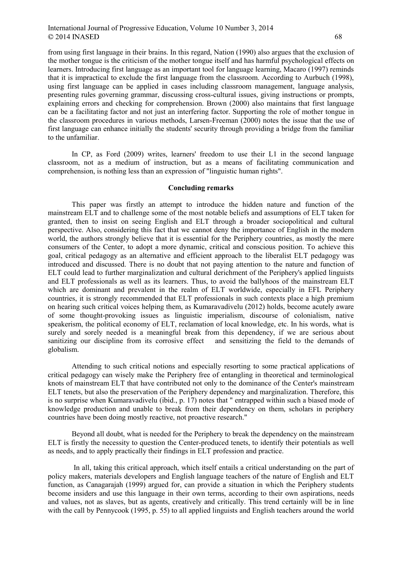### International Journal of Progressive Education, Volume 10 Number 3, 2014 68

from using first language in their brains. In this regard, Nation (1990) also argues that the exclusion of the mother tongue is the criticism of the mother tongue itself and has harmful psychological effects on learners. Introducing first language as an important tool for language learning, Macaro (1997) reminds that it is impractical to exclude the first language from the classroom. According to Aurbuch (1998), using first language can be applied in cases including classroom management, language analysis, presenting rules governing grammar, discussing cross-cultural issues, giving instructions or prompts, explaining errors and checking for comprehension. Brown (2000) also maintains that first language can be a facilitating factor and not just an interfering factor. Supporting the role of mother tongue in the classroom procedures in various methods, Larsen-Freeman (2000) notes the issue that the use of first language can enhance initially the students' security through providing a bridge from the familiar to the unfamiliar.

 In CP, as Ford (2009) writes, learners' freedom to use their L1 in the second language classroom, not as a medium of instruction, but as a means of facilitating communication and comprehension, is nothing less than an expression of "linguistic human rights".

#### Concluding remarks

 This paper was firstly an attempt to introduce the hidden nature and function of the mainstream ELT and to challenge some of the most notable beliefs and assumptions of ELT taken for granted, then to insist on seeing English and ELT through a broader sociopolitical and cultural perspective. Also, considering this fact that we cannot deny the importance of English in the modern world, the authors strongly believe that it is essential for the Periphery countries, as mostly the mere consumers of the Center, to adopt a more dynamic, critical and conscious position. To achieve this goal, critical pedagogy as an alternative and efficient approach to the liberalist ELT pedagogy was introduced and discussed. There is no doubt that not paying attention to the nature and function of ELT could lead to further marginalization and cultural derichment of the Periphery's applied linguists and ELT professionals as well as its learners. Thus, to avoid the ballyhoos of the mainstream ELT which are dominant and prevalent in the realm of ELT worldwide, especially in EFL Periphery countries, it is strongly recommended that ELT professionals in such contexts place a high premium on hearing such critical voices helping them, as Kumaravadivelu (2012) holds, become acutely aware of some thought-provoking issues as linguistic imperialism, discourse of colonialism, native speakerism, the political economy of ELT, reclamation of local knowledge, etc. In his words, what is surely and sorely needed is a meaningful break from this dependency, if we are serious about sanitizing our discipline from its corrosive effect and sensitizing the field to the demands of globalism.

 Attending to such critical notions and especially resorting to some practical applications of critical pedagogy can wisely make the Periphery free of entangling in theoretical and terminological knots of mainstream ELT that have contributed not only to the dominance of the Center's mainstream ELT tenets, but also the preservation of the Periphery dependency and marginalization. Therefore, this is no surprise when Kumaravadivelu (ibid., p. 17) notes that " entrapped within such a biased mode of knowledge production and unable to break from their dependency on them, scholars in periphery countries have been doing mostly reactive, not proactive research."

 Beyond all doubt, what is needed for the Periphery to break the dependency on the mainstream ELT is firstly the necessity to question the Center-produced tenets, to identify their potentials as well as needs, and to apply practically their findings in ELT profession and practice.

 In all, taking this critical approach, which itself entails a critical understanding on the part of policy makers, materials developers and English language teachers of the nature of English and ELT function, as Canagarajah (1999) argued for, can provide a situation in which the Periphery students become insiders and use this language in their own terms, according to their own aspirations, needs and values, not as slaves, but as agents, creatively and critically. This trend certainly will be in line with the call by Pennycook (1995, p. 55) to all applied linguists and English teachers around the world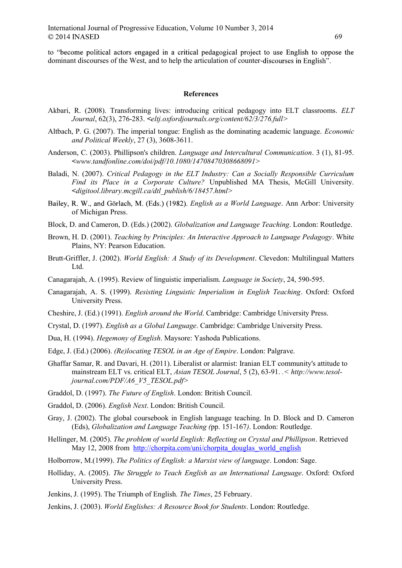to "become political actors engaged in a critical pedagogical project to use English to oppose the dominant discourses of the West, and to help the articulation of counter-discourses in English".

#### References

- Akbari, R. (2008). Transforming lives: introducing critical pedagogy into ELT classrooms. ELT Journal, 62(3), 276-283. <eltj.oxfordjournals.org/content/62/3/276.full>
- Altbach, P. G. (2007). The imperial tongue: English as the dominating academic language. Economic and Political Weekly, 27 (3), 3608-3611.
- Anderson, C. (2003). Phillipson's children. Language and Intercultural Communication. 3 (1), 81-95.  $\leq$ www.tandfonline.com/doi/pdf/10.1080/14708470308668091>
- Baladi, N. (2007). Critical Pedagogy in the ELT Industry: Can a Socially Responsible Curriculum Find its Place in a Corporate Culture? Unpublished MA Thesis, McGill University. <digitool.library.mcgill.ca/dtl\_publish/6/18457.html>
- Bailey, R. W., and Görlach, M. (Eds.) (1982). *English as a World Language*. Ann Arbor: University of Michigan Press.
- Block, D. and Cameron, D. (Eds.) (2002). Globalization and Language Teaching. London: Routledge.
- Brown, H. D. (2001). Teaching by Principles: An Interactive Approach to Language Pedagogy. White Plains, NY: Pearson Education.
- Brutt-Griffler, J. (2002). World English: A Study of its Development. Clevedon: Multilingual Matters Ltd.
- Canagarajah, A. (1995). Review of linguistic imperialism. Language in Society, 24, 590-595.
- Canagarajah, A. S. (1999). Resisting Linguistic Imperialism in English Teaching. Oxford: Oxford University Press.
- Cheshire, J. (Ed.) (1991). English around the World. Cambridge: Cambridge University Press.
- Crystal, D. (1997). English as a Global Language. Cambridge: Cambridge University Press.
- Dua, H. (1994). Hegemony of English. Maysore: Yashoda Publications.
- Edge, J. (Ed.) (2006). (Re)locating TESOL in an Age of Empire. London: Palgrave.
- Ghaffar Samar, R. and Davari, H. (2011). Liberalist or alarmist: Iranian ELT community's attitude to mainstream ELT vs. critical ELT, Asian TESOL Journal, 5 (2), 63-91. .< http://www.tesoljournal.com/PDF/A6\_V5\_TESOL.pdf>
- Graddol, D. (1997). The Future of English. London: British Council.
- Graddol, D. (2006). English Next. London: British Council.
- Gray, J. (2002). The global coursebook in English language teaching. In D. Block and D. Cameron (Eds), Globalization and Language Teaching (pp. 151-167). London: Routledge.
- Hellinger, M. (2005). The problem of world English: Reflecting on Crystal and Phillipson. Retrieved May 12, 2008 from http://chorpita.com/uni/chorpita\_douglas\_world\_english
- Holborrow, M.(1999). The Politics of English: a Marxist view of language. London: Sage.
- Holliday, A. (2005). The Struggle to Teach English as an International Language. Oxford: Oxford University Press.
- Jenkins, J. (1995). The Triumph of English. The Times, 25 February.
- Jenkins, J. (2003). World Englishes: A Resource Book for Students. London: Routledge.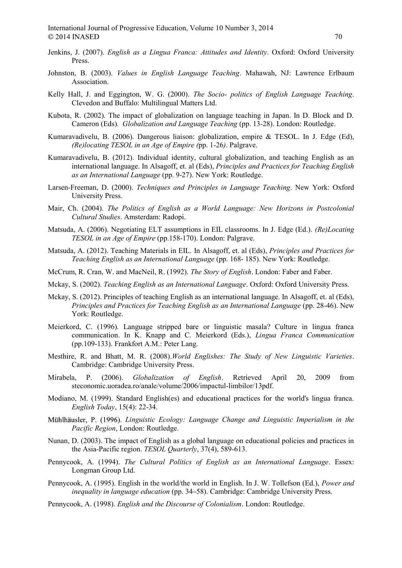- Jenkins, J. (2007). English as a Lingua Franca: Attitudes and Identity. Oxford: Oxford University Press.
- Johnston, B. (2003). Values in English Language Teaching. Mahawah, NJ: Lawrence Erlbaum Association.
- Kelly Hall, J. and Eggington, W. G. (2000). The Socio- politics of English Language Teaching. Clevedon and Buffalo: Multilingual Matters Ltd.
- Kubota, R. (2002). The impact of globalization on language teaching in Japan. In D. Block and D. Cameron (Eds). Globalization and Language Teaching (pp. 13-28). London: Routledge.
- Kumaravadivelu, B. (2006). Dangerous liaison: globalization, empire & TESOL. In J. Edge (Ed), (Re)locating TESOL in an Age of Empire (pp. 1-26). Palgrave.
- Kumaravadivelu, B. (2012). Individual identity, cultural globalization, and teaching English as an international language. In Alsagoff, et. al (Eds), Principles and Practices for Teaching English as an International Language (pp. 9-27). New York: Routledge.
- Larsen-Freeman, D. (2000). Techniques and Principles in Language Teaching. New York: Oxford University Press.
- Mair, Ch. (2004). The Politics of English as a World Language: New Horizons in Postcolonial Cultural Studies. Amsterdam: Radopi.
- Matsuda, A. (2006). Negotiating ELT assumptions in EIL classrooms. In J. Edge (Ed.). (Re)Locating TESOL in an Age of Empire (pp.158-170). London: Palgrave.
- Matsuda, A. (2012). Teaching Materials in EIL. In Alsagoff, et. al (Eds), Principles and Practices for Teaching English as an International Language (pp. 168- 185). New York: Routledge.
- McCrum, R. Cran, W. and MacNeil, R. (1992). The Story of English. London: Faber and Faber.
- Mckay, S. (2002). Teaching English as an International Language. Oxford: Oxford University Press.
- Mckay, S. (2012). Principles of teaching English as an international language. In Alsagoff, et. al (Eds), Principles and Practices for Teaching English as an International Language (pp. 28-46). New York: Routledge.
- Meierkord, C. (1996). Language stripped bare or linguistic masala? Culture in lingua franca communication. In K. Knapp and C. Meierkord (Eds.), Lingua Franca Communication (pp.109-133). Frankfort A.M.: Peter Lang.
- Mesthire, R. and Bhatt, M. R. (2008).World Englishes: The Study of New Linguistic Varieties. Cambridge: Cambridge University Press.
- Mirabela, P. (2006). Globalization of English. Retrieved April 20, 2009 from steconomic.uoradea.ro/anale/volume/2006/impactul-limbilor/13pdf.
- Modiano, M. (1999). Standard English(es) and educational practices for the world's lingua franca. English Today, 15(4): 22-34.
- Mühlhäusler, P. (1996). Linguistic Ecology: Language Change and Linguistic Imperialism in the Pacific Region, London: Routledge.
- Nunan, D. (2003). The impact of English as a global language on educational policies and practices in the Asia-Pacific region. TESOL Quarterly, 37(4), 589-613.
- Pennycook, A. (1994). The Cultural Politics of English as an International Language. Essex: Longman Group Ltd.
- Pennycook, A. (1995). English in the world/the world in English. In J. W. Tollefson (Ed.), Power and inequality in language education (pp. 34–58). Cambridge: Cambridge University Press.
- Pennycook, A. (1998). English and the Discourse of Colonialism. London: Routledge.